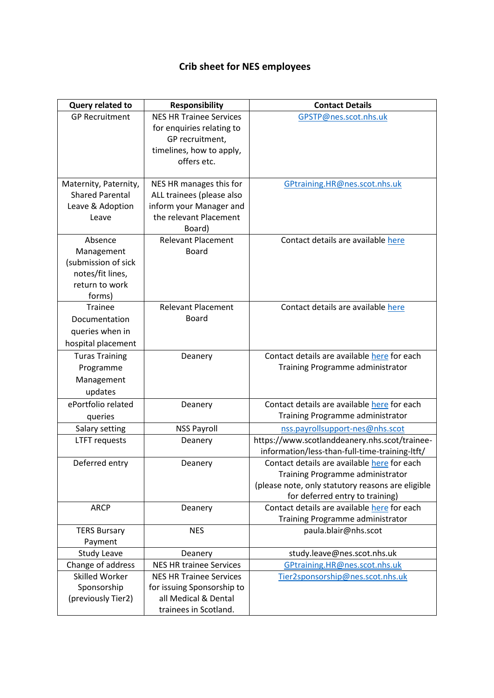## **Crib sheet for NES employees**

| Query related to                                | <b>Responsibility</b>                                | <b>Contact Details</b>                                                               |
|-------------------------------------------------|------------------------------------------------------|--------------------------------------------------------------------------------------|
| <b>GP Recruitment</b>                           | <b>NES HR Trainee Services</b>                       | GPSTP@nes.scot.nhs.uk                                                                |
|                                                 | for enquiries relating to                            |                                                                                      |
|                                                 | GP recruitment,                                      |                                                                                      |
|                                                 | timelines, how to apply,                             |                                                                                      |
|                                                 | offers etc.                                          |                                                                                      |
|                                                 |                                                      |                                                                                      |
| Maternity, Paternity,<br><b>Shared Parental</b> | NES HR manages this for<br>ALL trainees (please also | GPtraining.HR@nes.scot.nhs.uk                                                        |
| Leave & Adoption                                | inform your Manager and                              |                                                                                      |
| Leave                                           | the relevant Placement                               |                                                                                      |
|                                                 | Board)                                               |                                                                                      |
| Absence                                         | <b>Relevant Placement</b>                            | Contact details are available here                                                   |
| Management                                      | <b>Board</b>                                         |                                                                                      |
| (submission of sick                             |                                                      |                                                                                      |
| notes/fit lines,                                |                                                      |                                                                                      |
| return to work                                  |                                                      |                                                                                      |
| forms)                                          |                                                      |                                                                                      |
| <b>Trainee</b>                                  | <b>Relevant Placement</b>                            | Contact details are available here                                                   |
| Documentation                                   | <b>Board</b>                                         |                                                                                      |
| queries when in                                 |                                                      |                                                                                      |
| hospital placement                              |                                                      |                                                                                      |
| <b>Turas Training</b>                           | Deanery                                              | Contact details are available here for each                                          |
| Programme                                       |                                                      | Training Programme administrator                                                     |
| Management                                      |                                                      |                                                                                      |
| updates                                         |                                                      |                                                                                      |
| ePortfolio related                              | Deanery                                              | Contact details are available here for each                                          |
| queries                                         |                                                      | Training Programme administrator                                                     |
| Salary setting                                  | <b>NSS Payroll</b>                                   | nss.payrollsupport-nes@nhs.scot                                                      |
| <b>LTFT requests</b>                            | Deanery                                              | https://www.scotlanddeanery.nhs.scot/trainee-                                        |
|                                                 |                                                      | information/less-than-full-time-training-ltft/                                       |
| Deferred entry                                  | Deanery                                              | Contact details are available here for each                                          |
|                                                 |                                                      | Training Programme administrator                                                     |
|                                                 |                                                      | (please note, only statutory reasons are eligible<br>for deferred entry to training) |
| <b>ARCP</b>                                     | Deanery                                              | Contact details are available here for each                                          |
|                                                 |                                                      | Training Programme administrator                                                     |
| <b>TERS Bursary</b>                             | <b>NES</b>                                           | paula.blair@nhs.scot                                                                 |
| Payment                                         |                                                      |                                                                                      |
| <b>Study Leave</b>                              | Deanery                                              | study.leave@nes.scot.nhs.uk                                                          |
| Change of address                               | <b>NES HR trainee Services</b>                       | GPtraining.HR@nes.scot.nhs.uk                                                        |
| Skilled Worker                                  | <b>NES HR Trainee Services</b>                       | Tier2sponsorship@nes.scot.nhs.uk                                                     |
| Sponsorship                                     | for issuing Sponsorship to                           |                                                                                      |
| (previously Tier2)                              | all Medical & Dental                                 |                                                                                      |
|                                                 | trainees in Scotland.                                |                                                                                      |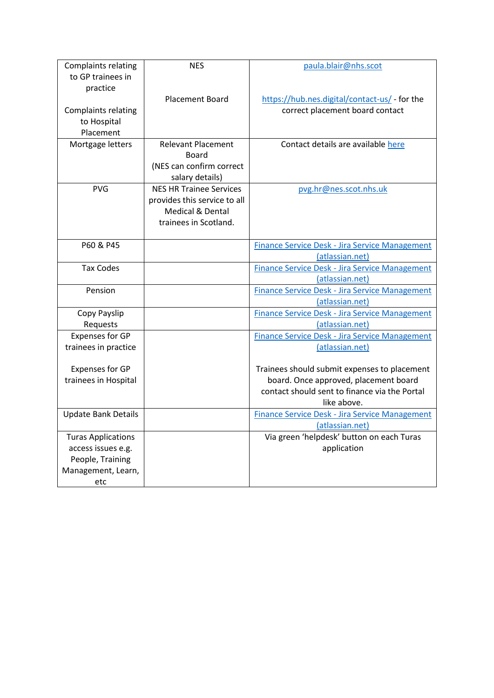| Complaints relating        | <b>NES</b>                                        | paula.blair@nhs.scot                           |
|----------------------------|---------------------------------------------------|------------------------------------------------|
| to GP trainees in          |                                                   |                                                |
| practice                   |                                                   |                                                |
|                            | <b>Placement Board</b>                            | https://hub.nes.digital/contact-us/ - for the  |
| <b>Complaints relating</b> |                                                   | correct placement board contact                |
| to Hospital                |                                                   |                                                |
| Placement                  |                                                   |                                                |
| Mortgage letters           | <b>Relevant Placement</b>                         | Contact details are available here             |
|                            | <b>Board</b>                                      |                                                |
|                            | (NES can confirm correct                          |                                                |
| <b>PVG</b>                 | salary details)<br><b>NES HR Trainee Services</b> | pvg.hr@nes.scot.nhs.uk                         |
|                            | provides this service to all                      |                                                |
|                            | Medical & Dental                                  |                                                |
|                            | trainees in Scotland.                             |                                                |
|                            |                                                   |                                                |
| P60 & P45                  |                                                   | Finance Service Desk - Jira Service Management |
|                            |                                                   | (atlassian.net)                                |
| <b>Tax Codes</b>           |                                                   | Finance Service Desk - Jira Service Management |
|                            |                                                   | (atlassian.net)                                |
| Pension                    |                                                   | Finance Service Desk - Jira Service Management |
|                            |                                                   | (atlassian.net)                                |
| Copy Payslip               |                                                   | Finance Service Desk - Jira Service Management |
| Requests                   |                                                   | (atlassian.net)                                |
| <b>Expenses for GP</b>     |                                                   | Finance Service Desk - Jira Service Management |
| trainees in practice       |                                                   | (atlassian.net)                                |
| Expenses for GP            |                                                   | Trainees should submit expenses to placement   |
| trainees in Hospital       |                                                   | board. Once approved, placement board          |
|                            |                                                   | contact should sent to finance via the Portal  |
|                            |                                                   | like above.                                    |
| <b>Update Bank Details</b> |                                                   | Finance Service Desk - Jira Service Management |
|                            |                                                   | (atlassian.net)                                |
| <b>Turas Applications</b>  |                                                   | Via green 'helpdesk' button on each Turas      |
| access issues e.g.         |                                                   | application                                    |
| People, Training           |                                                   |                                                |
| Management, Learn,         |                                                   |                                                |
| etc                        |                                                   |                                                |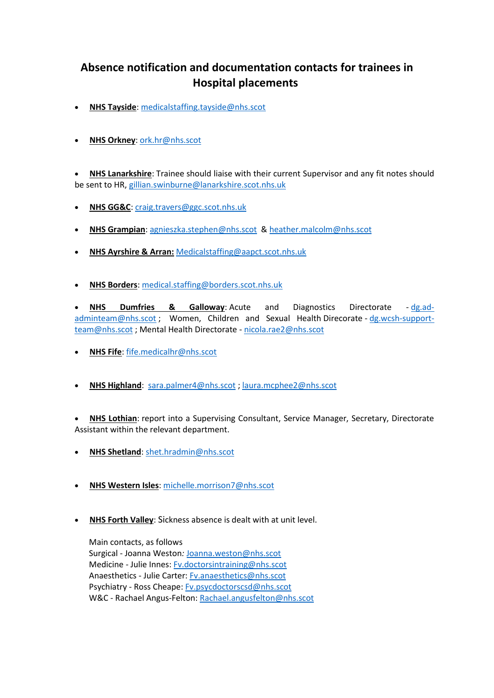## **Absence notification and documentation contacts for trainees in Hospital placements**

- **NHS Tayside**: [medicalstaffing.tayside@nhs.scot](mailto:medicalstaffing.tayside@nhs.scot)
- **NHS Orkney**: [ork.hr@nhs.scot](mailto:ork.hr@nhs.scot)

• **NHS Lanarkshire**: Trainee should liaise with their current Supervisor and any fit notes should be sent to HR, [gillian.swinburne@lanarkshire.scot.nhs.uk](mailto:gillian.swinburne@lanarkshire.scot.nhs.uk)

- **NHS GG&C**: [craig.travers@ggc.scot.nhs.uk](mailto:craig.travers@ggc.scot.nhs.uk)
- **NHS Grampian**: [agnieszka.stephen@nhs.scot](mailto:agnieszka.stephen@nhs.scot) & [heather.malcolm@nhs.scot](mailto:heather.malcolm@nhs.scot)
- **NHS Ayrshire & Arran:** [Medicalstaffing@aapct.scot.nhs.uk](mailto:Medicalstaffing@aapct.scot.nhs.uk)
- **NHS Borders**: [medical.staffing@borders.scot.nhs.uk](mailto:medical.staffing@borders.scot.nhs.uk)

• **NHS Dumfries & Galloway**: Acute and Diagnostics Directorate - [dg.ad](mailto:dg.ad-adminteam@nhs.scot)[adminteam@nhs.scot](mailto:dg.ad-adminteam@nhs.scot) ; Women, Children and Sexual Health Direcorate - [dg.wcsh-support](mailto:dg.wcsh-support-team@nhs.scot)[team@nhs.scot](mailto:dg.wcsh-support-team@nhs.scot) ; Mental Health Directorate - [nicola.rae2@nhs.scot](mailto:nicola.rae2@nhs.scot) 

- **NHS Fife**: [fife.medicalhr@nhs.scot](mailto:fife.medicalhr@nhs.scot)
- **NHS Highland**: [sara.palmer4@nhs.scot](mailto:sara.palmer4@nhs.scot) ; [laura.mcphee2@nhs.scot](mailto:laura.mcphee2@nhs.scot)

• **NHS Lothian**: report into a Supervising Consultant, Service Manager, Secretary, Directorate Assistant within the relevant department.

- **NHS Shetland**: [shet.hradmin@nhs.scot](mailto:shet.hradmin@nhs.scot)
- **NHS Western Isles**: [michelle.morrison7@nhs.scot](mailto:michelle.morrison7@nhs.scot)
- **NHS Forth Valley**: Sickness absence is dealt with at unit level.

Main contacts, as follows Surgical - Joanna Weston*:* [Joanna.weston@nhs.scot](mailto:Joanna.weston@nhs.scot)  Medicine - Julie Innes: [Fv.doctorsintraining@nhs.scot](mailto:Fv.doctorsintraining@nhs.scot)  Anaesthetics - Julie Carter: [Fv.anaesthetics@nhs.scot](mailto:Fv.anaesthetics@nhs.scot)  Psychiatry - Ross Cheape: Fv.psycdoctorscsd@nhs.scot W&C - Rachael Angus-Felton: Rachael.angusfelton@nhs.scot